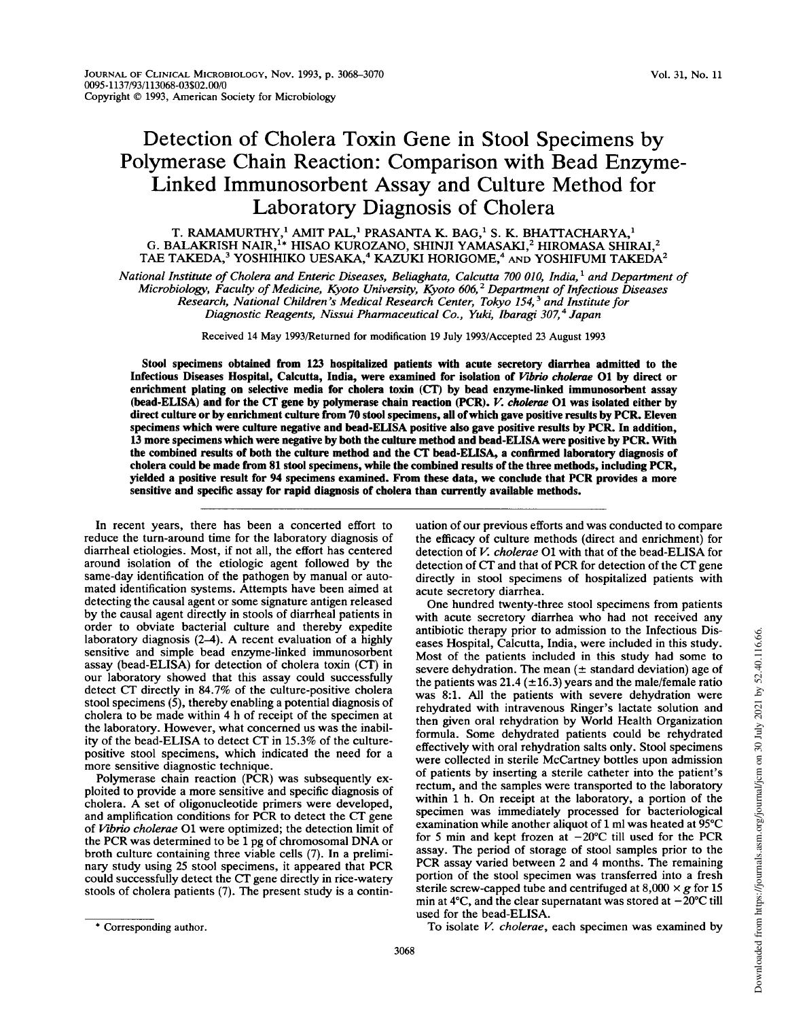## Detection of Cholera Toxin Gene in Stool Specimens by Polymerase Chain Reaction: Comparison with Bead Enzyme-Linked Immunosorbent Assay and Culture Method for Laboratory Diagnosis of Cholera

T. RAMAMURTHY, $^1$  AMIT PAL, $^1$  PRASANTA K. BAG, $^1$  S. K. BHATTACHARYA, $^1$ G. BALAKRISH NAIR, $^{\rm 1*}$  HISAO KUROZANO, SHINJI YAMASAKI, $^{\rm 2}$  HIROMASA SHIRAI, $^{\rm 2}$ TAE TAKEDA,<sup>3</sup> YOSHIHIKO UESAKA,<sup>4</sup> KAZUKI HORIGOME,<sup>4</sup> AND YOSHIFUMI TAKEDA<sup>2</sup>

National Institute of Cholera and Enteric Diseases, Beliaghata, Calcutta 700 010, India,<sup>1</sup> and Department of Microbiology, Faculty of Medicine, Kyoto University, Kyoto 606,2 Department of Infectious Diseases Research, National Children's Medical Research Center, Tokyo 154,<sup>3</sup> and Institute for Diagnostic Reagents, Nissui Pharmaceutical Co., Yuki, Ibaragi 307,<sup>4</sup> Japan

Received 14 May 1993/Returned for modification <sup>19</sup> July 1993/Accepted 23 August 1993

Stool specimens obtained from 123 hospitalized patients with acute secretory diarrhea admitted to the Infectious Diseases Hospital, Calcutta, India, were examined for isolation of Vibrio cholerae 01 by direct or enrichment plating on selective media for cholera toxin (CT) by bead enzyme-linked immunosorbent assay (bead-ELISA) and for the CT gene by polymerase chain reaction (PCR). V. cholerae 01 was isolated either by direct culture or by enrichment culture from 70 stool specimens, all ofwhich gave positive results by PCR. Eleven specimens which were culture negative and bead-ELISA positive also gave positive results by PCR. In addition, 13 more specimens which were negative by both the culture method and bead-ELISA were positive by PCR. With the combined results of both the culture method and the CT bead-ELISA, <sup>a</sup> confirmed laboratory diagnosis of cholera could be made from 81 stool specimens, while the combined results of the three methods, including PCR, yielded <sup>a</sup> positive result for 94 specimens examined. From these data, we conclude that PCR provides <sup>a</sup> more sensitive and specific assay for rapid diagnosis of cholera than currently available methods.

In recent years, there has been a concerted effort to reduce the turn-around time for the laboratory diagnosis of diarrheal etiologies. Most, if not all, the effort has centered around isolation of the etiologic agent followed by the same-day identification of the pathogen by manual or automated identification systems. Attempts have been aimed at detecting the causal agent or some signature antigen released by the causal agent directly in stools of diarrheal patients in order to obviate bacterial culture and thereby expedite laboratory diagnosis (2-4). A recent evaluation of <sup>a</sup> highly sensitive and simple bead enzyme-linked immunosorbent assay (bead-ELISA) for detection of cholera toxin (CT) in our laboratory showed that this assay could successfully detect CT directly in 84.7% of the culture-positive cholera stool specimens (5), thereby enabling a potential diagnosis of cholera to be made within 4 h of receipt of the specimen at the laboratory. However, what concerned us was the inability of the bead-ELISA to detect CT in 15.3% of the culturepositive stool specimens, which indicated the need for a more sensitive diagnostic technique.

Polymerase chain reaction (PCR) was subsequently exploited to provide a more sensitive and specific diagnosis of cholera. A set of oligonucleotide primers were developed, and amplification conditions for PCR to detect the CT gene of Vibrio cholerae 01 were optimized; the detection limit of the PCR was determined to be <sup>1</sup> pg of chromosomal DNA or broth culture containing three viable cells (7). In a preliminary study using <sup>25</sup> stool specimens, it appeared that PCR could successfully detect the CT gene directly in rice-watery stools of cholera patients (7). The present study is a continuation of our previous efforts and was conducted to compare the efficacy of culture methods (direct and enrichment) for detection of V. cholerae 01 with that of the bead-ELISA for detection of CT and that of PCR for detection of the CT gene directly in stool specimens of hospitalized patients with acute secretory diarrhea.

One hundred twenty-three stool specimens from patients with acute secretory diarrhea who had not received any antibiotic therapy prior to admission to the Infectious Diseases Hospital, Calcutta, India, were included in this study. Most of the patients included in this study had some to severe dehydration. The mean  $(±$  standard deviation) age of the patients was 21.4 ( $\pm$ 16.3) years and the male/female ratio was 8:1. All the patients with severe dehydration were rehydrated with intravenous Ringer's lactate solution and then given oral rehydration by World Health Organization formula. Some dehydrated patients could be rehydrated effectively with oral rehydration salts only. Stool specimens were collected in sterile McCartney bottles upon admission of patients by inserting a sterile catheter into the patient's rectum, and the samples were transported to the laboratory within <sup>1</sup> h. On receipt at the laboratory, a portion of the specimen was immediately processed for bacteriological examination while another aliquot of <sup>1</sup> ml was heated at 95°C for 5 min and kept frozen at  $-20^{\circ}$ C till used for the PCR assay. The period of storage of stool samples prior to the PCR assay varied between <sup>2</sup> and <sup>4</sup> months. The remaining portion of the stool specimen was transferred into a fresh sterile screw-capped tube and centrifuged at  $8,000 \times g$  for 15 min at 4°C, and the clear supernatant was stored at  $-\overline{20}^{\circ}$ C till used for the bead-ELISA.

To isolate V. cholerae, each specimen was examined by

<sup>\*</sup> Corresponding author.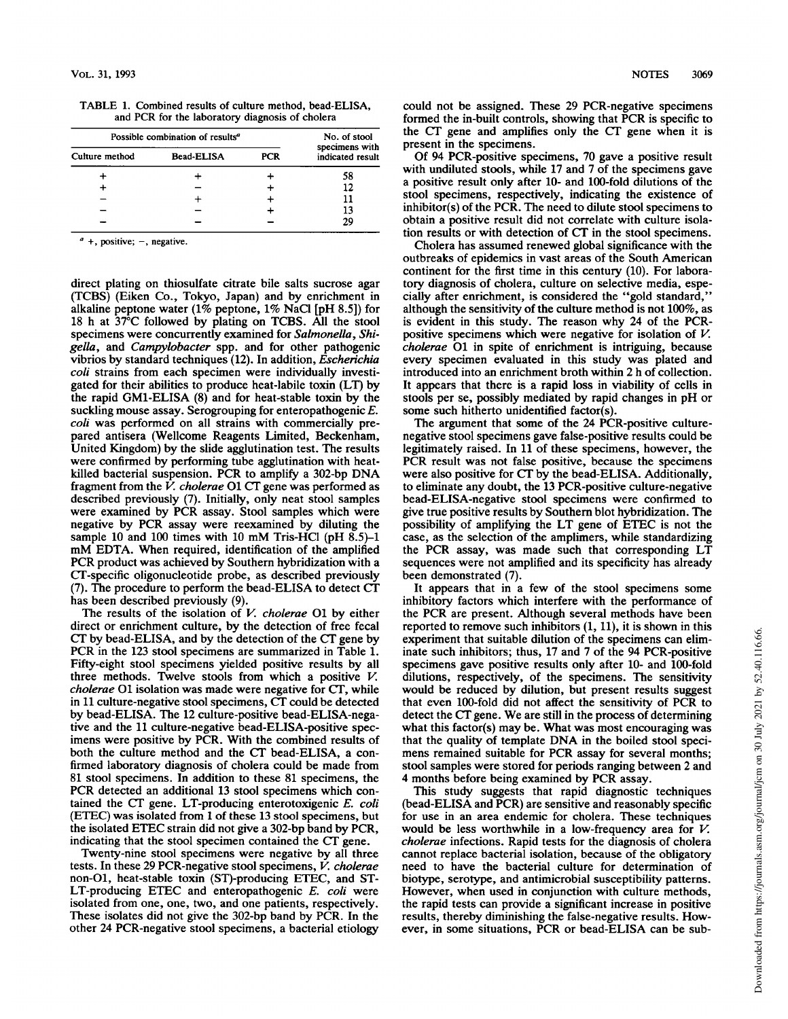| Possible combination of results <sup>a</sup> |                   |            | No. of stool                       |
|----------------------------------------------|-------------------|------------|------------------------------------|
| Culture method                               | <b>Bead-ELISA</b> | <b>PCR</b> | specimens with<br>indicated result |
|                                              |                   |            | 58                                 |
|                                              |                   |            | 12                                 |
|                                              |                   |            | 11                                 |
|                                              |                   |            | 13                                 |
|                                              |                   |            | 29                                 |

TABLE 1. Combined results of culture method, bead-ELISA, and PCR for the laboratory diagnosis of cholera

direct plating on thiosulfate citrate bile salts sucrose agar (TCBS) (Eiken Co., Tokyo, Japan) and by enrichment in alkaline peptone water (1% peptone, 1% NaCl [pH 8.5]) for 18 h at 37°C followed by plating on TCBS. All the stool specimens were concurrently examined for Salmonella, Shigella, and Campylobacter spp. and for other pathogenic vibrios by standard techniques (12). In addition, Escherichia coli strains from each specimen were individually investigated for their abilities to produce heat-labile toxin (LT) by the rapid GM1-ELISA (8) and for heat-stable toxin by the suckling mouse assay. Serogrouping for enteropathogenic E. coli was performed on all strains with commercially prepared antisera (Wellcome Reagents Limited, Beckenham, United Kingdom) by the slide agglutination test. The results were confirmed by performing tube agglutination with heatkilled bacterial suspension. PCR to amplify <sup>a</sup> 302-bp DNA fragment from the  $\overline{V}$ . cholerae O1 CT gene was performed as described previously (7). Initially, only neat stool samples were examined by PCR assay. Stool samples which were negative by PCR assay were reexamined by diluting the sample 10 and 100 times with 10 mM Tris-HCl (pH  $8.5$ )-1 mM EDTA. When required, identification of the amplified PCR product was achieved by Southern hybridization with <sup>a</sup> CT-specific oligonucleotide probe, as described previously (7). The procedure to perform the bead-ELISA to detect CT has been described previously (9).

The results of the isolation of  $V$ . cholerae O1 by either direct or enrichment culture, by the detection of free fecal CT by bead-ELISA, and by the detection of the CT gene by PCR in the <sup>123</sup> stool specimens are summarized in Table 1. Fifty-eight stool specimens yielded positive results by all three methods. Twelve stools from which a positive V. cholerae 01 isolation was made were negative for CT, while in <sup>11</sup> culture-negative stool specimens, CT could be detected by bead-ELISA. The 12 culture-positive bead-ELISA-negative and the 11 culture-negative bead-ELISA-positive specimens were positive by PCR. With the combined results of both the culture method and the CT bead-ELISA, <sup>a</sup> confirmed laboratory diagnosis of cholera could be made from 81 stool specimens. In addition to these 81 specimens, the PCR detected an additional <sup>13</sup> stool specimens which contained the CT gene. LT-producing enterotoxigenic E. coli (ETEC) was isolated from <sup>1</sup> of these 13 stool specimens, but the isolated ETEC strain did not give <sup>a</sup> 302-bp band by PCR, indicating that the stool specimen contained the CT gene.

Twenty-nine stool specimens were negative by all three tests. In these 29 PCR-negative stool specimens, V. cholerae non-Ol, heat-stable toxin (ST)-producing ETEC, and ST-LT-producing ETEC and enteropathogenic E. coli were isolated from one, one, two, and one patients, respectively. These isolates did not give the 302-bp band by PCR. In the other 24 PCR-negative stool specimens, a bacterial etiology

could not be assigned. These 29 PCR-negative specimens formed the in-built controls, showing that PCR is specific to the CT gene and amplifies only the CT gene when it is present in the specimens.

Of 94 PCR-positive specimens, 70 gave a positive result with undiluted stools, while 17 and 7 of the specimens gave a positive result only after 10- and 100-fold dilutions of the stool specimens, respectively, indicating the existence of inhibitor(s) of the PCR. The need to dilute stool specimens to obtain a positive result did not correlate with culture isolation results or with detection of CT in the stool specimens.

Cholera has assumed renewed global significance with the outbreaks of epidemics in vast areas of the South American continent for the first time in this century (10). For laboratory diagnosis of cholera, culture on selective media, especially after enrichment, is considered the "gold standard," although the sensitivity of the culture method is not 100%, as is evident in this study. The reason why <sup>24</sup> of the PCRpositive specimens which were negative for isolation of V. cholerae 01 in spite of enrichment is intriguing, because every specimen evaluated in this study was plated and introduced into an enrichment broth within 2 h of collection. It appears that there is a rapid loss in viability of cells in stools per se, possibly mediated by rapid changes in pH or some such hitherto unidentified factor(s).

The argument that some of the 24 PCR-positive culturenegative stool specimens gave false-positive results could be legitimately raised. In 11 of these specimens, however, the PCR result was not false positive, because the specimens were also positive for CT by the bead-ELISA. Additionally, to eliminate any doubt, the 13 PCR-positive culture-negative bead-ELISA-negative stool specimens were confirmed to give true positive results by Southern blot hybridization. The possibility of amplifying the LT gene of ETEC is not the case, as the selection of the amplimers, while standardizing the PCR assay, was made such that corresponding LT sequences were not amplified and its specificity has already been demonstrated (7).

It appears that in a few of the stool specimens some inhibitory factors which interfere with the performance of the PCR are present. Although several methods have been reported to remove such inhibitors (1, 11), it is shown in this experiment that suitable dilution of the specimens can eliminate such inhibitors; thus, 17 and 7 of the 94 PCR-positive specimens gave positive results only after 10- and 100-fold dilutions, respectively, of the specimens. The sensitivity would be reduced by dilution, but present results suggest that even 100-fold did not affect the sensitivity of PCR to detect the CT gene. We are still in the process of determining what this factor(s) may be. What was most encouraging was that the quality of template DNA in the boiled stool specimens remained suitable for PCR assay for several months; stool samples were stored for periods ranging between 2 and 4 months before being examined by PCR assay.

This study suggests that rapid diagnostic techniques (bead-ELISA and PCR) are sensitive and reasonably specific for use in an area endemic for cholera. These techniques would be less worthwhile in a low-frequency area for V. cholerae infections. Rapid tests for the diagnosis of cholera cannot replace bacterial isolation, because of the obligatory need to have the bacterial culture for determination of biotype, serotype, and antimicrobial susceptibility patterns. However, when used in conjunction with culture methods, the rapid tests can provide a significant increase in positive results, thereby diminishing the false-negative results. However, in some situations, PCR or bead-ELISA can be sub-